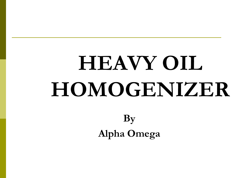# **HEAVY OIL HOMOGENIZER**

**By Alpha Omega**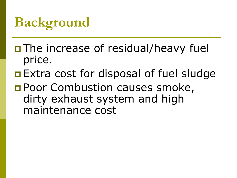### **Background**

- □ The increase of residual/heavy fuel price.
- **Extra cost for disposal of fuel sludge**
- **Poor Combustion causes smoke,** dirty exhaust system and high maintenance cost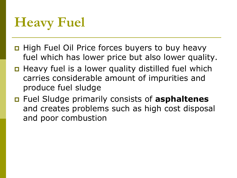# **Heavy Fuel**

- □ High Fuel Oil Price forces buyers to buy heavy fuel which has lower price but also lower quality.
- $\Box$  Heavy fuel is a lower quality distilled fuel which carries considerable amount of impurities and produce fuel sludge
- Fuel Sludge primarily consists of **asphaltenes** and creates problems such as high cost disposal and poor combustion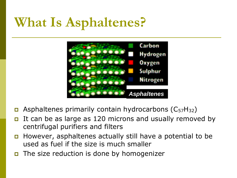#### **What Is Asphaltenes?**



- **E** Asphaltenes primarily contain hydrocarbons ( $C_{57}H_{32}$ )
- It can be as large as 120 microns and usually removed by centrifugal purifiers and filters
- **However, asphaltenes actually still have a potential to be** used as fuel if the size is much smaller
- The size reduction is done by homogenizer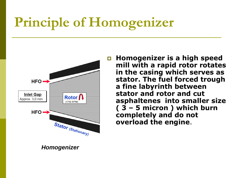# **Principle of Homogenizer**



 **Homogenizer is a high speed mill with a rapid rotor rotates in the casing which serves as stator. The fuel forced trough a fine labyrinth between stator and rotor and cut asphaltenes into smaller size ( 3 – 5 micron ) which burn completely and do not overload the engine**.

*Homogenizer*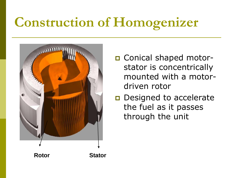# **Construction of Homogenizer**



- Conical shaped motorstator is concentrically mounted with a motordriven rotor
- Designed to accelerate the fuel as it passes through the unit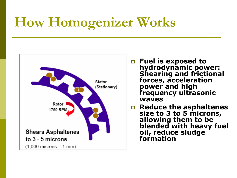# **How Homogenizer Works**



- **Fuel is exposed to hydrodynamic power: Shearing and frictional forces, acceleration power and high frequency ultrasonic waves**
- **Reduce the asphaltenes size to 3 to 5 microns, allowing them to be blended with heavy fuel oil, reduce sludge formation**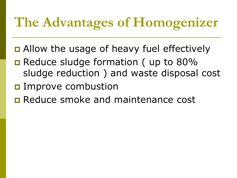### **The Advantages of Homogenizer**

- **□** Allow the usage of heavy fuel effectively
- Reduce sludge formation (up to 80% sludge reduction ) and waste disposal cost
- **D** Improve combustion
- **E** Reduce smoke and maintenance cost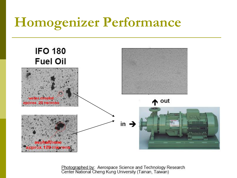#### **Homogenizer Performance**



Photographed by: Aerospace Science and Technology Research<br>Center National Cheng Kung University (Tainan, Taiwan)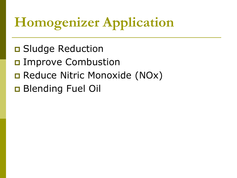# **Homogenizer Application**

- **D** Sludge Reduction
- **D** Improve Combustion
- **□ Reduce Nitric Monoxide (NOx)**
- **Blending Fuel Oil**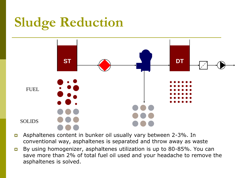# **Sludge Reduction**



- Asphaltenes content in bunker oil usually vary between 2-3%. In conventional way, asphaltenes is separated and throw away as waste
- By using homogenizer, asphaltenes utilization is up to 80-85%. You can save more than 2% of total fuel oil used and your headache to remove the asphaltenes is solved.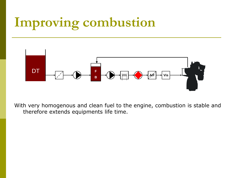#### **Improving combustion**



With very homogenous and clean fuel to the engine, combustion is stable and therefore extends equipments life time.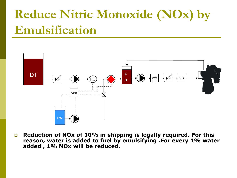#### **Reduce Nitric Monoxide (NOx) by Emulsification**



 **Reduction of NOx of 10% in shipping is legally required. For this reason, water is added to fuel by emulsifying .For every 1% water added , 1% NOx will be reduced**.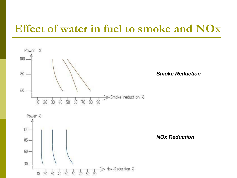#### **Effect of water in fuel to smoke and NOx**

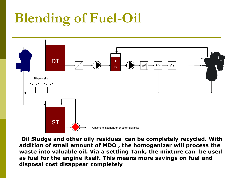# **Blending of Fuel-Oil**



**Oil Sludge and other oily residues can be completely recycled. With addition of small amount of MDO , the homogenizer will process the waste into valuable oil. Via a settling Tank, the mixture can be used as fuel for the engine itself. This means more savings on fuel and disposal cost disappear completely**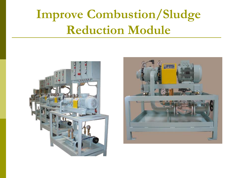#### **Improve Combustion/Sludge Reduction Module**



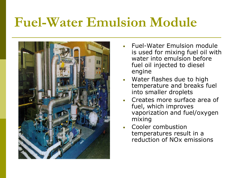#### **Fuel-Water Emulsion Module**



- Fuel-Water Emulsion module is used for mixing fuel oil with water into emulsion before fuel oil injected to diesel engine
- Water flashes due to high temperature and breaks fuel into smaller droplets
- Creates more surface area of fuel, which improves vaporization and fuel/oxygen mixing
- Cooler combustion temperatures result in a reduction of NOx emissions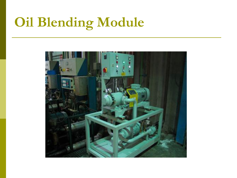# **Oil Blending Module**

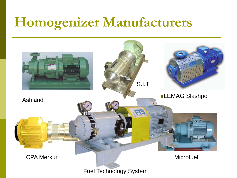#### **Homogenizer Manufacturers**